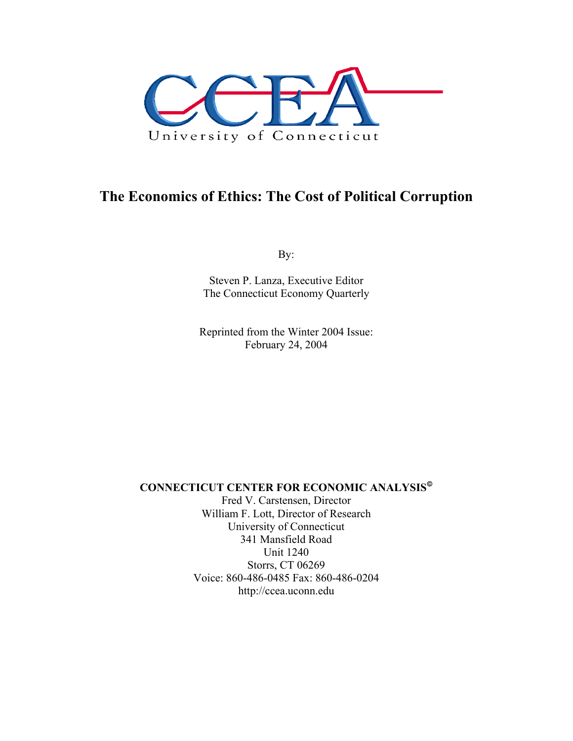

# **The Economics of Ethics: The Cost of Political Corruption**

By:

Steven P. Lanza, Executive Editor The Connecticut Economy Quarterly

Reprinted from the Winter 2004 Issue: February 24, 2004

**CONNECTICUT CENTER FOR ECONOMIC ANALYSIS**

Fred V. Carstensen, Director William F. Lott, Director of Research University of Connecticut 341 Mansfield Road Unit 1240 Storrs, CT 06269 Voice: 860-486-0485 Fax: 860-486-0204 http://ccea.uconn.edu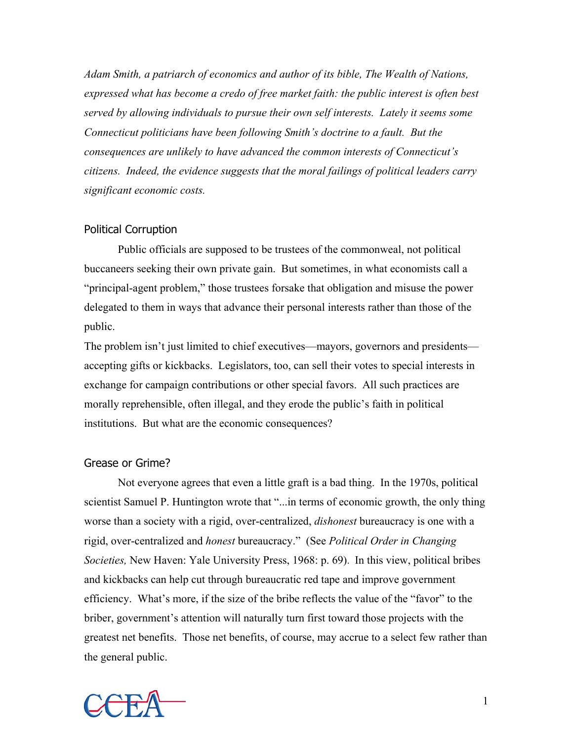*Adam Smith, a patriarch of economics and author of its bible, The Wealth of Nations, expressed what has become a credo of free market faith: the public interest is often best served by allowing individuals to pursue their own self interests. Lately it seems some Connecticut politicians have been following Smith's doctrine to a fault. But the consequences are unlikely to have advanced the common interests of Connecticut's citizens. Indeed, the evidence suggests that the moral failings of political leaders carry significant economic costs.* 

### Political Corruption

 Public officials are supposed to be trustees of the commonweal, not political buccaneers seeking their own private gain. But sometimes, in what economists call a "principal-agent problem," those trustees forsake that obligation and misuse the power delegated to them in ways that advance their personal interests rather than those of the public.

The problem isn't just limited to chief executives—mayors, governors and presidents accepting gifts or kickbacks. Legislators, too, can sell their votes to special interests in exchange for campaign contributions or other special favors. All such practices are morally reprehensible, often illegal, and they erode the public's faith in political institutions. But what are the economic consequences?

### Grease or Grime?

 Not everyone agrees that even a little graft is a bad thing. In the 1970s, political scientist Samuel P. Huntington wrote that "...in terms of economic growth, the only thing worse than a society with a rigid, over-centralized, *dishonest* bureaucracy is one with a rigid, over-centralized and *honest* bureaucracy." (See *Political Order in Changing Societies,* New Haven: Yale University Press, 1968: p. 69). In this view, political bribes and kickbacks can help cut through bureaucratic red tape and improve government efficiency. What's more, if the size of the bribe reflects the value of the "favor" to the briber, government's attention will naturally turn first toward those projects with the greatest net benefits. Those net benefits, of course, may accrue to a select few rather than the general public.

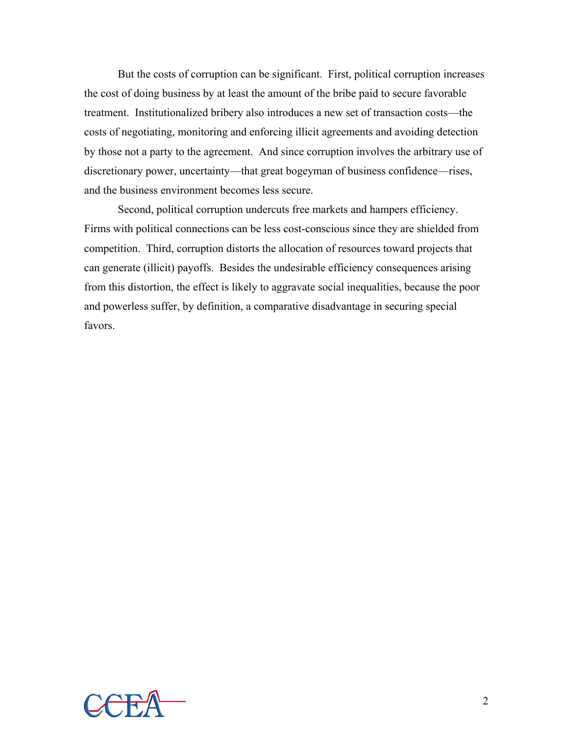But the costs of corruption can be significant. First, political corruption increases the cost of doing business by at least the amount of the bribe paid to secure favorable treatment. Institutionalized bribery also introduces a new set of transaction costs—the costs of negotiating, monitoring and enforcing illicit agreements and avoiding detection by those not a party to the agreement. And since corruption involves the arbitrary use of discretionary power, uncertainty—that great bogeyman of business confidence—rises, and the business environment becomes less secure.

 Second, political corruption undercuts free markets and hampers efficiency. Firms with political connections can be less cost-conscious since they are shielded from competition. Third, corruption distorts the allocation of resources toward projects that can generate (illicit) payoffs. Besides the undesirable efficiency consequences arising from this distortion, the effect is likely to aggravate social inequalities, because the poor and powerless suffer, by definition, a comparative disadvantage in securing special favors.

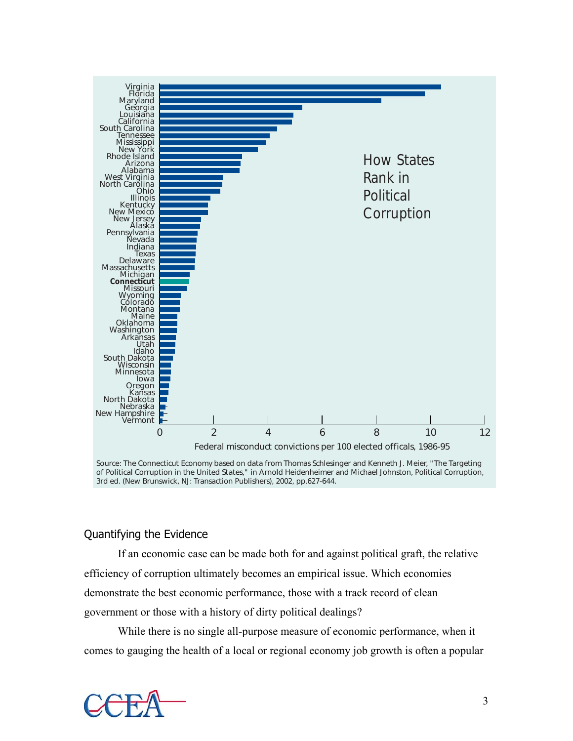

Source: The Connecticut Economy based on data from Thomas Schlesinger and Kenneth J. Meier, "The Targeting of Political Corruption in the United States," in Arnold Heidenheimer and Michael Johnston, *Political Corruption*, 3rd ed. (New Brunswick, NJ: Transaction Publishers), 2002, pp.627-644.

### Quantifying the Evidence

 If an economic case can be made both for and against political graft, the relative efficiency of corruption ultimately becomes an empirical issue. Which economies demonstrate the best economic performance, those with a track record of clean government or those with a history of dirty political dealings?

 While there is no single all-purpose measure of economic performance, when it comes to gauging the health of a local or regional economy job growth is often a popular

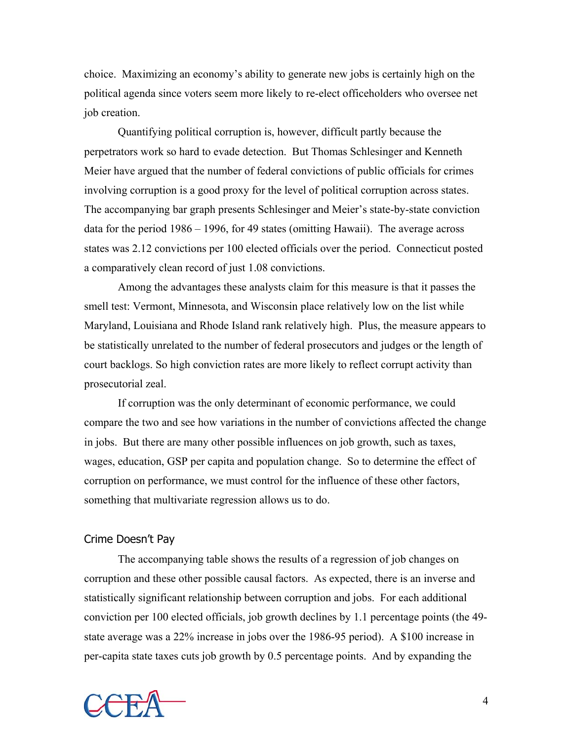choice. Maximizing an economy's ability to generate new jobs is certainly high on the political agenda since voters seem more likely to re-elect officeholders who oversee net job creation.

 Quantifying political corruption is, however, difficult partly because the perpetrators work so hard to evade detection. But Thomas Schlesinger and Kenneth Meier have argued that the number of federal convictions of public officials for crimes involving corruption is a good proxy for the level of political corruption across states. The accompanying bar graph presents Schlesinger and Meier's state-by-state conviction data for the period 1986 – 1996, for 49 states (omitting Hawaii). The average across states was 2.12 convictions per 100 elected officials over the period. Connecticut posted a comparatively clean record of just 1.08 convictions.

 Among the advantages these analysts claim for this measure is that it passes the smell test: Vermont, Minnesota, and Wisconsin place relatively low on the list while Maryland, Louisiana and Rhode Island rank relatively high. Plus, the measure appears to be statistically unrelated to the number of federal prosecutors and judges or the length of court backlogs. So high conviction rates are more likely to reflect corrupt activity than prosecutorial zeal.

 If corruption was the only determinant of economic performance, we could compare the two and see how variations in the number of convictions affected the change in jobs. But there are many other possible influences on job growth, such as taxes, wages, education, GSP per capita and population change. So to determine the effect of corruption on performance, we must control for the influence of these other factors, something that multivariate regression allows us to do.

### Crime Doesn't Pay

 The accompanying table shows the results of a regression of job changes on corruption and these other possible causal factors. As expected, there is an inverse and statistically significant relationship between corruption and jobs. For each additional conviction per 100 elected officials, job growth declines by 1.1 percentage points (the 49 state average was a 22% increase in jobs over the 1986-95 period). A \$100 increase in per-capita state taxes cuts job growth by 0.5 percentage points. And by expanding the

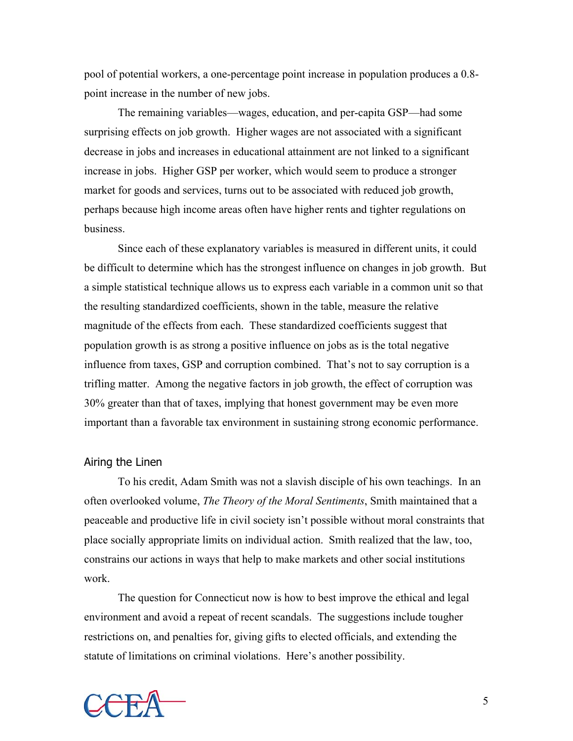pool of potential workers, a one-percentage point increase in population produces a 0.8 point increase in the number of new jobs.

 The remaining variables—wages, education, and per-capita GSP—had some surprising effects on job growth. Higher wages are not associated with a significant decrease in jobs and increases in educational attainment are not linked to a significant increase in jobs. Higher GSP per worker, which would seem to produce a stronger market for goods and services, turns out to be associated with reduced job growth, perhaps because high income areas often have higher rents and tighter regulations on business.

 Since each of these explanatory variables is measured in different units, it could be difficult to determine which has the strongest influence on changes in job growth. But a simple statistical technique allows us to express each variable in a common unit so that the resulting standardized coefficients, shown in the table, measure the relative magnitude of the effects from each. These standardized coefficients suggest that population growth is as strong a positive influence on jobs as is the total negative influence from taxes, GSP and corruption combined. That's not to say corruption is a trifling matter. Among the negative factors in job growth, the effect of corruption was 30% greater than that of taxes, implying that honest government may be even more important than a favorable tax environment in sustaining strong economic performance.

#### Airing the Linen

 To his credit, Adam Smith was not a slavish disciple of his own teachings. In an often overlooked volume, *The Theory of the Moral Sentiments*, Smith maintained that a peaceable and productive life in civil society isn't possible without moral constraints that place socially appropriate limits on individual action. Smith realized that the law, too, constrains our actions in ways that help to make markets and other social institutions work.

 The question for Connecticut now is how to best improve the ethical and legal environment and avoid a repeat of recent scandals. The suggestions include tougher restrictions on, and penalties for, giving gifts to elected officials, and extending the statute of limitations on criminal violations. Here's another possibility.